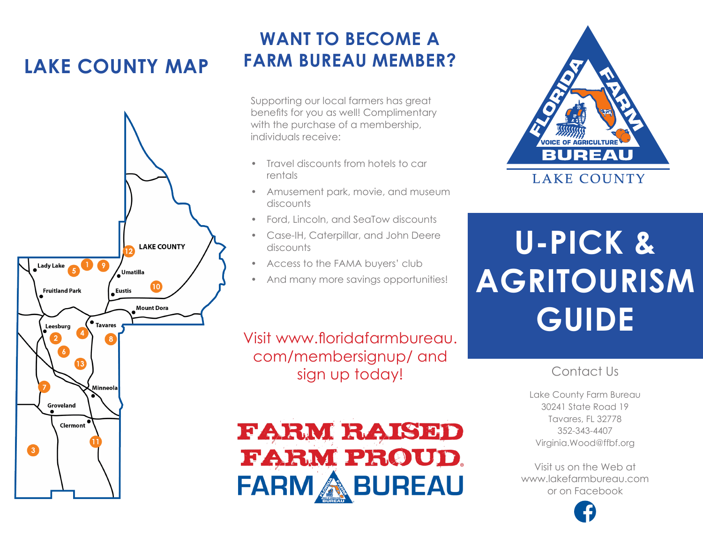# **LAKE COUNTY MAP**



## **WANT TO BECOME A FARM BUREAU MEMBER?**

Supporting our local farmers has great benefits for you as well! Complimentary with the purchase of a membership, individuals receive:

- Travel discounts from hotels to car rentals
- Amusement park, movie, and museum discounts
- Ford, Lincoln, and SeaTow discounts
- Case-IH, Caterpillar, and John Deere discounts
- Access to the FAMA buyers' club
- And many more savings opportunities!

Visit www.floridafarmbureau. com/membersignup/ and sign up today!





# **U-PICK & AGRITOURISM GUIDE**

### Contact Us

Lake County Farm Bureau 30241 State Road 19 Tavares, FL 32778 352-343-4407 Virginia.Wood@ffbf.org

Visit us on the Web at www.lakefarmbureau.com or on Facebook